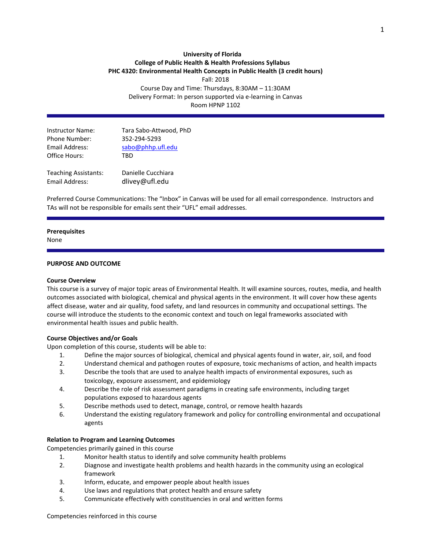# **University of Florida College of Public Health & Health Professions Syllabus PHC 4320: Environmental Health Concepts in Public Health (3 credit hours)**

Fall: 2018

Course Day and Time: Thursdays, 8:30AM – 11:30AM Delivery Format: In person supported via e-learning in Canvas Room HPNP 1102

| <b>Instructor Name:</b> | Tara Sabo-Attwood, PhD |
|-------------------------|------------------------|
| <b>Phone Number:</b>    | 352-294-5293           |
| Email Address:          | sabo@phhp.ufl.edu      |
| Office Hours:           | TRD                    |
|                         |                        |
|                         |                        |

Teaching Assistants: Danielle Cucchiara Email Address: dlivey@ufl.edu

Preferred Course Communications: The "Inbox" in Canvas will be used for all email correspondence. Instructors and TAs will not be responsible for emails sent their "UFL" email addresses.

#### **Prerequisites**

None

### **PURPOSE AND OUTCOME**

#### **Course Overview**

This course is a survey of major topic areas of Environmental Health. It will examine sources, routes, media, and health outcomes associated with biological, chemical and physical agents in the environment. It will cover how these agents affect disease, water and air quality, food safety, and land resources in community and occupational settings. The course will introduce the students to the economic context and touch on legal frameworks associated with environmental health issues and public health.

### **Course Objectives and/or Goals**

Upon completion of this course, students will be able to:

- 1. Define the major sources of biological, chemical and physical agents found in water, air, soil, and food
- 2. Understand chemical and pathogen routes of exposure, toxic mechanisms of action, and health impacts
- 3. Describe the tools that are used to analyze health impacts of environmental exposures, such as toxicology, exposure assessment, and epidemiology
- 4. Describe the role of risk assessment paradigms in creating safe environments, including target populations exposed to hazardous agents
- 5. Describe methods used to detect, manage, control, or remove health hazards
- 6. Understand the existing regulatory framework and policy for controlling environmental and occupational agents

### **Relation to Program and Learning Outcomes**

Competencies primarily gained in this course

- 1. Monitor health status to identify and solve community health problems
- 2. Diagnose and investigate health problems and health hazards in the community using an ecological framework
- 3. Inform, educate, and empower people about health issues
- 4. Use laws and regulations that protect health and ensure safety
- 5. Communicate effectively with constituencies in oral and written forms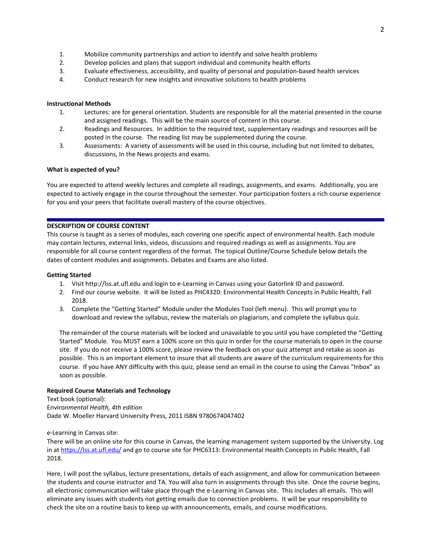- 1. Mobilize community partnerships and action to identify and solve health problems
- 2. Develop policies and plans that support individual and community health efforts
- 3. Evaluate effectiveness, accessibility, and quality of personal and population-based health services
- 4. Conduct research for new insights and innovative solutions to health problems

### **Instructional Methods**

- 1. Lectures: are for general orientation. Students are responsible for all the material presented in the course and assigned readings. This will be the main source of content in this course.
- 2. Readings and Resources. In addition to the required text, supplementary readings and resources will be posted in the course. The reading list may be supplemented during the course.
- 3. Assessments: A variety of assessments will be used in this course, including but not limited to debates, discussions, In the News projects and exams.

### **What is expected of you?**

You are expected to attend weekly lectures and complete all readings, assignments, and exams. Additionally, you are expected to actively engage in the course throughout the semester. Your participation fosters a rich course experience for you and your peers that facilitate overall mastery of the course objectives.

### **DESCRIPTION OF COURSE CONTENT**

This course is taught as a series of modules, each covering one specific aspect of environmental health. Each module may contain lectures, external links, videos, discussions and required readings as well as assignments. You are responsible for all course content regardless of the format. The topical Outline/Course Schedule below details the dates of content modules and assignments. Debates and Exams are also listed.

#### **Getting Started**

- 1. Visit http://lss.at.ufl.edu and login to e-Learning in Canvas using your Gatorlink ID and password.
- 2. Find our course website. It will be listed as PHC4320: Environmental Health Concepts in Public Health, Fall 2018.
- 3. Complete the "Getting Started" Module under the Modules Tool (left menu). This will prompt you to download and review the syllabus, review the materials on plagiarism, and complete the syllabus quiz.

The remainder of the course materials will be locked and unavailable to you until you have completed the "Getting Started" Module. You MUST earn a 100% score on this quiz in order for the course materials to open in the course site. If you do not receive a 100% score, please review the feedback on your quiz attempt and retake as soon as possible. This is an important element to insure that all students are aware of the curriculum requirements for this course. If you have ANY difficulty with this quiz, please send an email in the course to using the Canvas "Inbox" as soon as possible.

### **Required Course Materials and Technology**

### Text book (optional): Enviro*nmental Health, 4th edition* Dade W. Moeller Harvard University Press, 2011 ISBN 9780674047402

### e-Learning in Canvas site:

There will be an online site for this course in Canvas, the learning management system supported by the University. Log in a[t https://lss.at.ufl.edu/](https://lss.at.ufl.edu/) and go to course site for PHC6313: Environmental Health Concepts in Public Health, Fall 2018.

Here, I will post the syllabus, lecture presentations, details of each assignment, and allow for communication between the students and course instructor and TA. You will also turn in assignments through this site. Once the course begins, all electronic communication will take place through the e-Learning in Canvas site. This includes all emails. This will eliminate any issues with students not getting emails due to connection problems. It will be your responsibility to check the site on a routine basis to keep up with announcements, emails, and course modifications.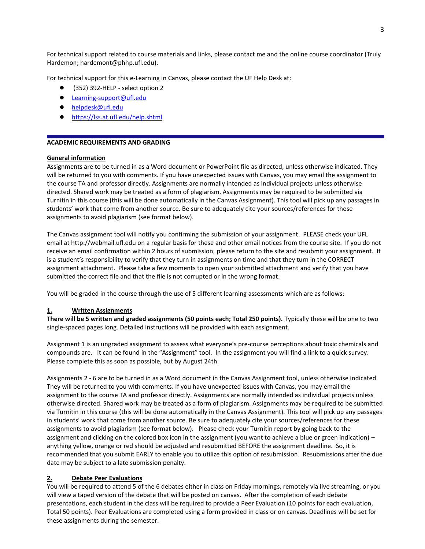For technical support related to course materials and links, please contact me and the online course coordinator (Truly Hardemon; hardemont@phhp.ufl.edu).

For technical support for this e-Learning in Canvas, please contact the UF Help Desk at:

- (352) 392-HELP select option 2
- [Learning-support@ufl.edu](mailto:Learning-support@ufl.edu)
- [helpdesk@ufl.edu](mailto:helpdesk@ufl.edu)
- <https://lss.at.ufl.edu/help.shtml>

### **ACADEMIC REQUIREMENTS AND GRADING**

### **General information**

Assignments are to be turned in as a Word document or PowerPoint file as directed, unless otherwise indicated. They will be returned to you with comments. If you have unexpected issues with Canvas, you may email the assignment to the course TA and professor directly. Assignments are normally intended as individual projects unless otherwise directed. Shared work may be treated as a form of plagiarism. Assignments may be required to be submitted via Turnitin in this course (this will be done automatically in the Canvas Assignment). This tool will pick up any passages in students' work that come from another source. Be sure to adequately cite your sources/references for these assignments to avoid plagiarism (see format below).

The Canvas assignment tool will notify you confirming the submission of your assignment. PLEASE check your UFL email at http://webmail.ufl.edu on a regular basis for these and other email notices from the course site. If you do not receive an email confirmation within 2 hours of submission, please return to the site and resubmit your assignment. It is a student's responsibility to verify that they turn in assignments on time and that they turn in the CORRECT assignment attachment. Please take a few moments to open your submitted attachment and verify that you have submitted the correct file and that the file is not corrupted or in the wrong format.

You will be graded in the course through the use of 5 different learning assessments which are as follows:

### **1. Written Assignments**

**There will be 5 written and graded assignments (50 points each; Total 250 points).** Typically these will be one to two single-spaced pages long. Detailed instructions will be provided with each assignment.

Assignment 1 is an ungraded assignment to assess what everyone's pre-course perceptions about toxic chemicals and compounds are. It can be found in the "Assignment" tool. In the assignment you will find a link to a quick survey. Please complete this as soon as possible, but by August 24th.

Assignments 2 - 6 are to be turned in as a Word document in the Canvas Assignment tool, unless otherwise indicated. They will be returned to you with comments. If you have unexpected issues with Canvas, you may email the assignment to the course TA and professor directly. Assignments are normally intended as individual projects unless otherwise directed. Shared work may be treated as a form of plagiarism. Assignments may be required to be submitted via Turnitin in this course (this will be done automatically in the Canvas Assignment). This tool will pick up any passages in students' work that come from another source. Be sure to adequately cite your sources/references for these assignments to avoid plagiarism (see format below). Please check your Turnitin report by going back to the assignment and clicking on the colored box icon in the assignment (you want to achieve a blue or green indication) – anything yellow, orange or red should be adjusted and resubmitted BEFORE the assignment deadline. So, it is recommended that you submit EARLY to enable you to utilize this option of resubmission. Resubmissions after the due date may be subject to a late submission penalty.

### **2. Debate Peer Evaluations**

You will be required to attend 5 of the 6 debates either in class on Friday mornings, remotely via live streaming, or you will view a taped version of the debate that will be posted on canvas. After the completion of each debate presentations, each student in the class will be required to provide a Peer Evaluation (10 points for each evaluation, Total 50 points). Peer Evaluations are completed using a form provided in class or on canvas. Deadlines will be set for these assignments during the semester.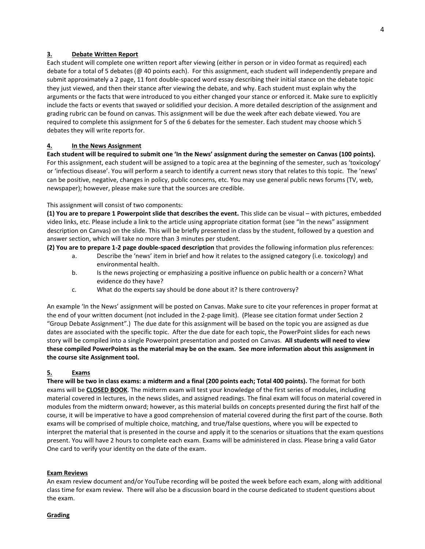### **3. Debate Written Report**

Each student will complete one written report after viewing (either in person or in video format as required) each debate for a total of 5 debates (@ 40 points each). For this assignment, each student will independently prepare and submit approximately a 2 page, 11 font double-spaced word essay describing their initial stance on the debate topic they just viewed, and then their stance after viewing the debate, and why. Each student must explain why the arguments or the facts that were introduced to you either changed your stance or enforced it. Make sure to explicitly include the facts or events that swayed or solidified your decision. A more detailed description of the assignment and grading rubric can be found on canvas. This assignment will be due the week after each debate viewed. You are required to complete this assignment for 5 of the 6 debates for the semester. Each student may choose which 5 debates they will write reports for.

### **4. In the News Assignment**

**Each student will be required to submit one 'In the News' assignment during the semester on Canvas (100 points).** For this assignment, each student will be assigned to a topic area at the beginning of the semester, such as 'toxicology' or 'infectious disease'. You will perform a search to identify a current news story that relates to this topic. The 'news' can be positive, negative, changes in policy, public concerns, etc. You may use general public news forums (TV, web, newspaper); however, please make sure that the sources are credible.

### This assignment will consist of two components:

**(1) You are to prepare 1 Powerpoint slide that describes the event.** This slide can be visual – with pictures, embedded video links, etc. Please include a link to the article using appropriate citation format (see "In the news" assignment description on Canvas) on the slide. This will be briefly presented in class by the student, followed by a question and answer section, which will take no more than 3 minutes per student.

**(2) You are to prepare 1-2 page double-spaced description** that provides the following information plus references:

- a. Describe the 'news' item in brief and how it relates to the assigned category (i.e. toxicology) and environmental health.
- b. Is the news projecting or emphasizing a positive influence on public health or a concern? What evidence do they have?
- c. What do the experts say should be done about it? Is there controversy?

An example 'In the News' assignment will be posted on Canvas. Make sure to cite your references in proper format at the end of your written document (not included in the 2-page limit). (Please see citation format under Section 2 "Group Debate Assignment".) The due date for this assignment will be based on the topic you are assigned as due dates are associated with the specific topic. After the due date for each topic, the PowerPoint slides for each news story will be compiled into a single Powerpoint presentation and posted on Canvas. **All students will need to view these compiled PowerPoints as the material may be on the exam. See more information about this assignment in the course site Assignment tool.**

### **5. Exams**

**There will be two in class exams: a midterm and a final (200 points each; Total 400 points).** The format for both exams will be **CLOSED BOOK**. The midterm exam will test your knowledge of the first series of modules, including material covered in lectures, in the news slides, and assigned readings. The final exam will focus on material covered in modules from the midterm onward; however, as this material builds on concepts presented during the first half of the course, it will be imperative to have a good comprehension of material covered during the first part of the course. Both exams will be comprised of multiple choice, matching, and true/false questions, where you will be expected to interpret the material that is presented in the course and apply it to the scenarios or situations that the exam questions present. You will have 2 hours to complete each exam. Exams will be administered in class. Please bring a valid Gator One card to verify your identity on the date of the exam.

### **Exam Reviews**

An exam review document and/or YouTube recording will be posted the week before each exam, along with additional class time for exam review. There will also be a discussion board in the course dedicated to student questions about the exam.

### **Grading**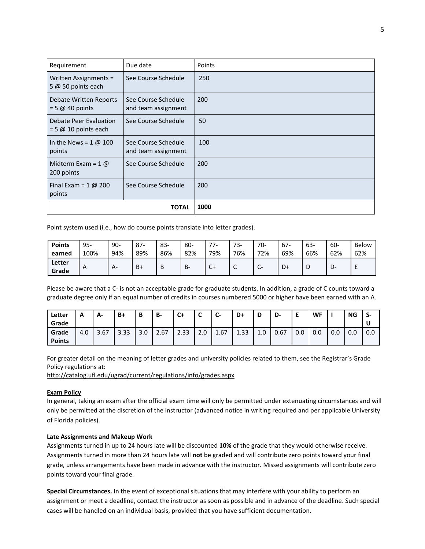| Requirement                                                                     | Due date                                   | Points |
|---------------------------------------------------------------------------------|--------------------------------------------|--------|
| Written Assignments =<br>5 $@$ 50 points each                                   | See Course Schedule                        | 250    |
| Debate Written Reports<br>$= 5 \omega 40$ points                                | See Course Schedule<br>and team assignment | 200    |
| Debate Peer Evaluation<br>$= 5 \text{ } \textcircled{a} 10 \text{ points each}$ | See Course Schedule                        | 50     |
| points                                                                          | See Course Schedule<br>and team assignment | 100    |
| Midterm Exam = $1 \omega$<br>200 points                                         | See Course Schedule                        | 200    |
| Final Exam = $1 \text{ } \textcircled{a}$ 200<br>points                         | See Course Schedule                        | 200    |
|                                                                                 | <b>TOTAL</b>                               | 1000   |

Point system used (i.e., how do course points translate into letter grades).

| <b>Points</b>   | $95 -$ | $90 -$ | $87-$ | $83-$ | 80- | $\overline{\phantom{a}}$ | 73-             | $70-$                         | 67- | 63- | 60- | Below |
|-----------------|--------|--------|-------|-------|-----|--------------------------|-----------------|-------------------------------|-----|-----|-----|-------|
| earned          | 100%   | 94%    | 89%   | 86%   | 82% | 79%                      | 76%             | 72%                           | 69% | 66% | 62% | 62%   |
| Letter<br>Grade | A      | A-     | $B+$  | D     | в-  | $C+$                     | $\sqrt{2}$<br>╰ | $\overline{\phantom{0}}$<br>◡ | D+  | ◡   | ◡   |       |

Please be aware that a C- is not an acceptable grade for graduate students. In addition, a grade of C counts toward a graduate degree only if an equal number of credits in courses numbered 5000 or higher have been earned with an A.

| Letter<br>Grade        | Α   | А-   | B+   | D<br>D | <b>B-</b> | $C+$ | ∽<br>◡ | $\overline{\phantom{0}}$<br>U- | D+   | D   | D-   | -<br>- | WF  |     | ΝG  | S-<br>U |
|------------------------|-----|------|------|--------|-----------|------|--------|--------------------------------|------|-----|------|--------|-----|-----|-----|---------|
| Grade<br><b>Points</b> | 4.0 | 3.67 | 3.33 | 3.0    | 2.67      | 2.33 | 2.0    | 1.67                           | 1.33 | 1.0 | 0.67 | 0.0    | 0.0 | 0.0 | 0.0 | 0.0     |

For greater detail on the meaning of letter grades and university policies related to them, see the Registrar's Grade Policy regulations at:

<http://catalog.ufl.edu/ugrad/current/regulations/info/grades.aspx>

### **Exam Policy**

In general, taking an exam after the official exam time will only be permitted under extenuating circumstances and will only be permitted at the discretion of the instructor (advanced notice in writing required and per applicable University of Florida policies).

### **Late Assignments and Makeup Work**

Assignments turned in up to 24 hours late will be discounted **10%** of the grade that they would otherwise receive. Assignments turned in more than 24 hours late will **not** be graded and will contribute zero points toward your final grade, unless arrangements have been made in advance with the instructor. Missed assignments will contribute zero points toward your final grade.

**Special Circumstances.** In the event of exceptional situations that may interfere with your ability to perform an assignment or meet a deadline, contact the instructor as soon as possible and in advance of the deadline. Such special cases will be handled on an individual basis, provided that you have sufficient documentation.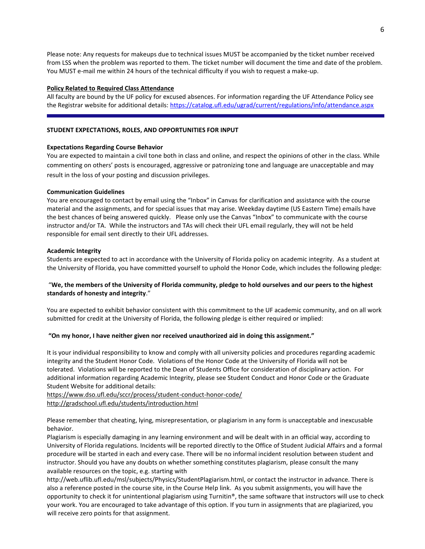Please note: Any requests for makeups due to technical issues MUST be accompanied by the ticket number received from LSS when the problem was reported to them. The ticket number will document the time and date of the problem. You MUST e-mail me within 24 hours of the technical difficulty if you wish to request a make-up.

#### **Policy Related to Required Class Attendance**

All faculty are bound by the UF policy for excused absences. For information regarding the UF Attendance Policy see the Registrar website for additional details:<https://catalog.ufl.edu/ugrad/current/regulations/info/attendance.aspx>

#### **STUDENT EXPECTATIONS, ROLES, AND OPPORTUNITIES FOR INPUT**

#### **Expectations Regarding Course Behavior**

You are expected to maintain a civil tone both in class and online, and respect the opinions of other in the class. While commenting on others' posts is encouraged, aggressive or patronizing tone and language are unacceptable and may result in the loss of your posting and discussion privileges.

#### **Communication Guidelines**

You are encouraged to contact by email using the "Inbox" in Canvas for clarification and assistance with the course material and the assignments, and for special issues that may arise. Weekday daytime (US Eastern Time) emails have the best chances of being answered quickly. Please only use the Canvas "Inbox" to communicate with the course instructor and/or TA. While the instructors and TAs will check their UFL email regularly, they will not be held responsible for email sent directly to their UFL addresses.

#### **Academic Integrity**

Students are expected to act in accordance with the University of Florida policy on academic integrity. As a student at the University of Florida, you have committed yourself to uphold the Honor Code, which includes the following pledge:

### "We, the members of the University of Florida community, pledge to hold ourselves and our peers to the highest **standards of honesty and integrity**."

You are expected to exhibit behavior consistent with this commitment to the UF academic community, and on all work submitted for credit at the University of Florida, the following pledge is either required or implied:

### **"On my honor, I have neither given nor received unauthorized aid in doing this assignment."**

It is your individual responsibility to know and comply with all university policies and procedures regarding academic integrity and the Student Honor Code. Violations of the Honor Code at the University of Florida will not be tolerated. Violations will be reported to the Dean of Students Office for consideration of disciplinary action. For additional information regarding Academic Integrity, please see Student Conduct and Honor Code or the Graduate Student Website for additional details:

<https://www.dso.ufl.edu/sccr/process/student-conduct-honor-code/> <http://gradschool.ufl.edu/students/introduction.html>

Please remember that cheating, lying, misrepresentation, or plagiarism in any form is unacceptable and inexcusable behavior.

Plagiarism is especially damaging in any learning environment and will be dealt with in an official way, according to University of Florida regulations. Incidents will be reported directly to the Office of Student Judicial Affairs and a formal procedure will be started in each and every case. There will be no informal incident resolution between student and instructor. Should you have any doubts on whether something constitutes plagiarism, please consult the many available resources on the topic, e.g. starting with

http://web.uflib.ufl.edu/msl/subjects/Physics/StudentPlagiarism.html, or contact the instructor in advance. There is also a reference posted in the course site, in the Course Help link. As you submit assignments, you will have the opportunity to check it for unintentional plagiarism using Turnitin<sup>®</sup>, the same software that instructors will use to check your work. You are encouraged to take advantage of this option. If you turn in assignments that are plagiarized, you will receive zero points for that assignment.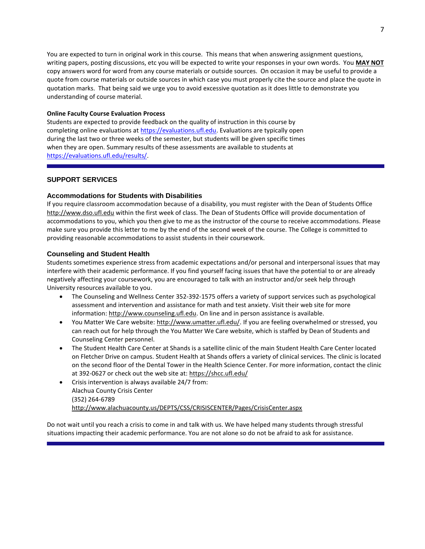You are expected to turn in original work in this course. This means that when answering assignment questions, writing papers, posting discussions, etc you will be expected to write your responses in your own words. You **MAY NOT** copy answers word for word from any course materials or outside sources. On occasion it may be useful to provide a quote from course materials or outside sources in which case you must properly cite the source and place the quote in quotation marks. That being said we urge you to avoid excessive quotation as it does little to demonstrate you understanding of course material.

### **Online Faculty Course Evaluation Process**

Students are expected to provide feedback on the quality of instruction in this course by completing online evaluations a[t https://evaluations.ufl.edu.](https://evaluations.ufl.edu/) Evaluations are typically open during the last two or three weeks of the semester, but students will be given specific times when they are open. Summary results of these assessments are available to students at [https://evaluations.ufl.edu/results/.](https://evaluations.ufl.edu/results/)

### **SUPPORT SERVICES**

### **Accommodations for Students with Disabilities**

If you require classroom accommodation because of a disability, you must register with the Dean of Students Office [http://www.dso.ufl.edu](http://www.dso.ufl.edu/) within the first week of class. The Dean of Students Office will provide documentation of accommodations to you, which you then give to me as the instructor of the course to receive accommodations. Please make sure you provide this letter to me by the end of the second week of the course. The College is committed to providing reasonable accommodations to assist students in their coursework.

### **Counseling and Student Health**

Students sometimes experience stress from academic expectations and/or personal and interpersonal issues that may interfere with their academic performance. If you find yourself facing issues that have the potential to or are already negatively affecting your coursework, you are encouraged to talk with an instructor and/or seek help through University resources available to you.

- The Counseling and Wellness Center 352-392-1575 offers a variety of support services such as psychological assessment and intervention and assistance for math and test anxiety. Visit their web site for more information: [http://www.counseling.ufl.edu.](http://www.counseling.ufl.edu/) On line and in person assistance is available.
- You Matter We Care website: [http://www.umatter.ufl.edu/.](http://www.umatter.ufl.edu/) If you are feeling overwhelmed or stressed, you can reach out for help through the You Matter We Care website, which is staffed by Dean of Students and Counseling Center personnel.
- The Student Health Care Center at Shands is a satellite clinic of the main Student Health Care Center located on Fletcher Drive on campus. Student Health at Shands offers a variety of clinical services. The clinic is located on the second floor of the Dental Tower in the Health Science Center. For more information, contact the clinic at 392-0627 or check out the web site at: <https://shcc.ufl.edu/>
- Crisis intervention is always available 24/7 from: Alachua County Crisis Center (352) 264-6789 <http://www.alachuacounty.us/DEPTS/CSS/CRISISCENTER/Pages/CrisisCenter.aspx>

Do not wait until you reach a crisis to come in and talk with us. We have helped many students through stressful situations impacting their academic performance. You are not alone so do not be afraid to ask for assistance.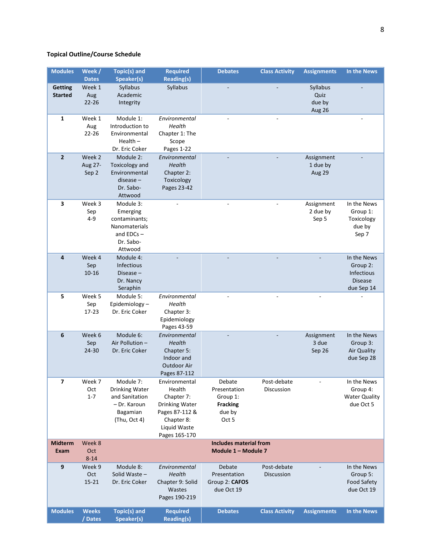## **Topical Outline/Course Schedule**

| <b>Modules</b> | Week /                 | <b>Topic(s) and</b>               | <b>Required</b>                      | <b>Debates</b>                | <b>Class Activity</b> | <b>Assignments</b> | In the News                       |
|----------------|------------------------|-----------------------------------|--------------------------------------|-------------------------------|-----------------------|--------------------|-----------------------------------|
| <b>Getting</b> | <b>Dates</b><br>Week 1 | Speaker(s)<br>Syllabus            | <b>Reading(s)</b><br>Syllabus        |                               |                       | Syllabus           |                                   |
| <b>Started</b> | Aug                    | Academic                          |                                      |                               |                       | Quiz               |                                   |
|                | $22 - 26$              | Integrity                         |                                      |                               |                       | due by             |                                   |
|                |                        |                                   |                                      |                               |                       | Aug 26             |                                   |
| 1              | Week 1                 | Module 1:                         | Environmental                        |                               |                       |                    |                                   |
|                | Aug<br>$22 - 26$       | Introduction to<br>Environmental  | Health<br>Chapter 1: The             |                               |                       |                    |                                   |
|                |                        | $Health -$                        | Scope                                |                               |                       |                    |                                   |
|                |                        | Dr. Eric Coker                    | Pages 1-22                           |                               |                       |                    |                                   |
| $\mathbf{2}$   | Week 2                 | Module 2:                         | Environmental                        |                               |                       | Assignment         |                                   |
|                | Aug 27-                | Toxicology and                    | Health                               |                               |                       | 1 due by           |                                   |
|                | Sep 2                  | Environmental<br>disease –        | Chapter 2:                           |                               |                       | Aug 29             |                                   |
|                |                        | Dr. Sabo-                         | Toxicology<br>Pages 23-42            |                               |                       |                    |                                   |
|                |                        | Attwood                           |                                      |                               |                       |                    |                                   |
| 3              | Week 3                 | Module 3:                         |                                      |                               |                       | Assignment         | In the News                       |
|                | Sep                    | Emerging                          |                                      |                               |                       | 2 due by           | Group 1:                          |
|                | $4 - 9$                | contaminants;<br>Nanomaterials    |                                      |                               |                       | Sep 5              | Toxicology<br>due by              |
|                |                        | and $EDCs -$                      |                                      |                               |                       |                    | Sep 7                             |
|                |                        | Dr. Sabo-                         |                                      |                               |                       |                    |                                   |
|                |                        | Attwood                           |                                      |                               |                       |                    |                                   |
| 4              | Week 4                 | Module 4:                         |                                      |                               |                       |                    | In the News                       |
|                | Sep<br>10-16           | <b>Infectious</b><br>Disease $-$  |                                      |                               |                       |                    | Group 2:<br><b>Infectious</b>     |
|                |                        | Dr. Nancy                         |                                      |                               |                       |                    | <b>Disease</b>                    |
|                |                        | Seraphin                          |                                      |                               |                       |                    | due Sep 14                        |
| 5              | Week 5                 | Module 5:                         | Environmental                        |                               |                       |                    |                                   |
|                | Sep                    | Epidemiology-                     | Health                               |                               |                       |                    |                                   |
|                | 17-23                  | Dr. Eric Coker                    | Chapter 3:<br>Epidemiology           |                               |                       |                    |                                   |
|                |                        |                                   | Pages 43-59                          |                               |                       |                    |                                   |
| 6              | Week 6                 | Module 6:                         | Environmental                        |                               |                       | Assignment         | In the News                       |
|                | Sep                    | Air Pollution -                   | Health                               |                               |                       | 3 due              | Group 3:                          |
|                | 24-30                  | Dr. Eric Coker                    | Chapter 5:<br>Indoor and             |                               |                       | Sep 26             | Air Quality<br>due Sep 28         |
|                |                        |                                   | Outdoor Air                          |                               |                       |                    |                                   |
|                |                        |                                   | Pages 87-112                         |                               |                       |                    |                                   |
| 7              | Week 7                 | Module 7:                         | Environmental                        | Debate                        | Post-debate           |                    | In the News                       |
|                | Oct                    | Drinking Water                    | Health                               | Presentation                  | Discussion            |                    | Group 4:                          |
|                | $1 - 7$                | and Sanitation<br>- Dr. Karoun    | Chapter 7:<br>Drinking Water         | Group 1:<br><b>Fracking</b>   |                       |                    | <b>Water Quality</b><br>due Oct 5 |
|                |                        | Bagamian                          | Pages 87-112 &                       | due by                        |                       |                    |                                   |
|                |                        | (Thu, Oct 4)                      | Chapter 8:                           | Oct 5                         |                       |                    |                                   |
|                |                        |                                   | Liquid Waste                         |                               |                       |                    |                                   |
| Midterm        | Week 8                 |                                   | Pages 165-170                        | <b>Includes material from</b> |                       |                    |                                   |
| Exam           | Oct                    |                                   |                                      | Module 1 - Module 7           |                       |                    |                                   |
|                | $8 - 14$               |                                   |                                      |                               |                       |                    |                                   |
| 9              | Week 9                 | Module 8:                         | Environmental                        | Debate                        | Post-debate           |                    | In the News                       |
|                | Oct                    | Solid Waste -                     | Health                               | Presentation                  | Discussion            |                    | Group 5:                          |
|                | $15 - 21$              | Dr. Eric Coker                    | Chapter 9: Solid<br>Wastes           | Group 2: CAFOS<br>due Oct 19  |                       |                    | <b>Food Safety</b><br>due Oct 19  |
|                |                        |                                   | Pages 190-219                        |                               |                       |                    |                                   |
|                |                        |                                   |                                      |                               |                       |                    |                                   |
| <b>Modules</b> | <b>Weeks</b><br>/Dates | <b>Topic(s) and</b><br>Speaker(s) | <b>Required</b><br><b>Reading(s)</b> | <b>Debates</b>                | <b>Class Activity</b> | <b>Assignments</b> | In the News                       |